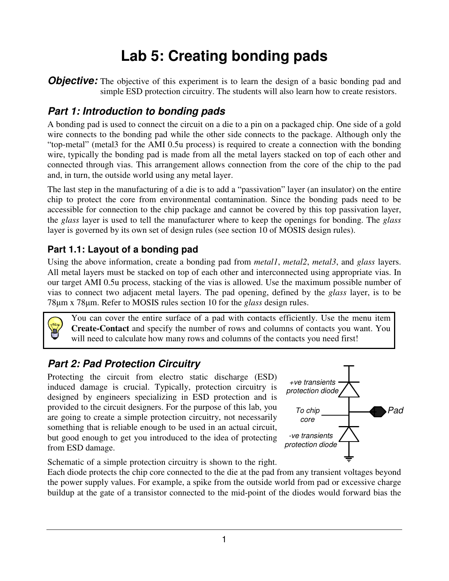# Lab 5: Creating bonding pads

**Objective:** The objective of this experiment is to learn the design of a basic bonding pad and simple ESD protection circuitry. The students will also learn how to create resistors.

# Part 1: Introduction to bonding pads

A bonding pad is used to connect the circuit on a die to a pin on a packaged chip. One side of a gold wire connects to the bonding pad while the other side connects to the package. Although only the "top-metal" (metal3 for the AMI 0.5u process) is required to create a connection with the bonding wire, typically the bonding pad is made from all the metal layers stacked on top of each other and connected through vias. This arrangement allows connection from the core of the chip to the pad and, in turn, the outside world using any metal layer.

The last step in the manufacturing of a die is to add a "passivation" layer (an insulator) on the entire chip to protect the core from environmental contamination. Since the bonding pads need to be accessible for connection to the chip package and cannot be covered by this top passivation layer, the glass layer is used to tell the manufacturer where to keep the openings for bonding. The glass layer is governed by its own set of design rules (see section 10 of MOSIS design rules).

## Part 1.1: Layout of a bonding pad

Using the above information, create a bonding pad from *metal1*, *metal2*, *metal3*, and *glass* layers. All metal layers must be stacked on top of each other and interconnected using appropriate vias. In our target AMI 0.5u process, stacking of the vias is allowed. Use the maximum possible number of vias to connect two adjacent metal layers. The pad opening, defined by the glass layer, is to be 78 $\mu$ m x 78 $\mu$ m. Refer to MOSIS rules section 10 for the glass design rules.



You can cover the entire surface of a pad with contacts efficiently. Use the menu item Create-Contact and specify the number of rows and columns of contacts you want. You will need to calculate how many rows and columns of the contacts you need first!

# Part 2: Pad Protection Circuitry

Protecting the circuit from electro static discharge (ESD) induced damage is crucial. Typically, protection circuitry is designed by engineers specializing in ESD protection and is provided to the circuit designers. For the purpose of this lab, you are going to create a simple protection circuitry, not necessarily something that is reliable enough to be used in an actual circuit, but good enough to get you introduced to the idea of protecting from ESD damage.



Schematic of a simple protection circuitry is shown to the right.

Each diode protects the chip core connected to the die at the pad from any transient voltages beyond the power supply values. For example, a spike from the outside world from pad or excessive charge buildup at the gate of a transistor connected to the mid-point of the diodes would forward bias the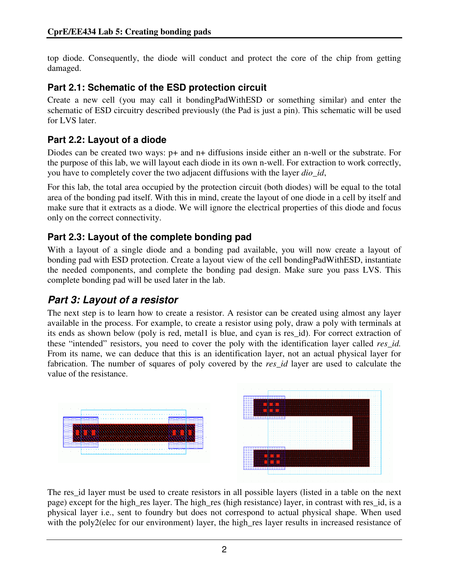top diode. Consequently, the diode will conduct and protect the core of the chip from getting damaged.

#### Part 2.1: Schematic of the ESD protection circuit

Create a new cell (you may call it bondingPadWithESD or something similar) and enter the schematic of ESD circuitry described previously (the Pad is just a pin). This schematic will be used for LVS later.

## Part 2.2: Layout of a diode

Diodes can be created two ways: p+ and n+ diffusions inside either an n-well or the substrate. For the purpose of this lab, we will layout each diode in its own n-well. For extraction to work correctly, you have to completely cover the two adjacent diffusions with the layer dio\_id,

For this lab, the total area occupied by the protection circuit (both diodes) will be equal to the total area of the bonding pad itself. With this in mind, create the layout of one diode in a cell by itself and make sure that it extracts as a diode. We will ignore the electrical properties of this diode and focus only on the correct connectivity.

## Part 2.3: Layout of the complete bonding pad

With a layout of a single diode and a bonding pad available, you will now create a layout of bonding pad with ESD protection. Create a layout view of the cell bondingPadWithESD, instantiate the needed components, and complete the bonding pad design. Make sure you pass LVS. This complete bonding pad will be used later in the lab.

# Part 3: Layout of a resistor

The next step is to learn how to create a resistor. A resistor can be created using almost any layer available in the process. For example, to create a resistor using poly, draw a poly with terminals at its ends as shown below (poly is red, metal1 is blue, and cyan is res\_id). For correct extraction of these "intended" resistors, you need to cover the poly with the identification layer called res id. From its name, we can deduce that this is an identification layer, not an actual physical layer for fabrication. The number of squares of poly covered by the res id layer are used to calculate the value of the resistance.



The res\_id layer must be used to create resistors in all possible layers (listed in a table on the next page) except for the high\_res layer. The high\_res (high resistance) layer, in contrast with res\_id, is a physical layer i.e., sent to foundry but does not correspond to actual physical shape. When used with the poly2(elec for our environment) layer, the high\_res layer results in increased resistance of